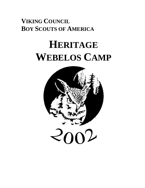## **VIKING COUNCIL BOY SCOUTS OF AMERICA**

# **HERITAGE WEBELOS CAMP**

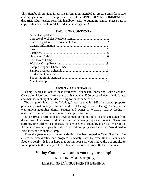This Handbook provides important information intended to prepare units for a safe and enjoyable Webelos Camp experience. It is **STRONGLY RECOMMENDED**  that **ALL** adult leaders read this handbook prior to attending camp. Please pass a copy of this handbook to **ALL** leaders attending camp!

#### **TABLE OF CONTENTS**

#### **ABOUT CAMP STEARNS**

 Camp Stearns is located near Fairhaven, Minnesota, bordering Lake Caroline, Clearwater River and Lake Augusta. It contains 1200 acres of open field, forest, and marshes making it an ideal setting for outdoor activities.

 The camp, originally called "Heritage", was opened in 1968 after several property purchases, most notably from the daughter of George Crosby. George Crosby was a well-known naturalist, donor, Scouter and owner of WCCO. Crosby Lodge is named after him and was given to the camp by his family.

 Since 1968 construction and development of outdoor facilities have resulted from the efforts of numerous individuals and volunteer groups and donors. There are currently five different camp areas that are used year round by districts, Order of the Arrow chapters, Camperalls and various training programs including, Wood Badge Pine Tree, and Webelos Camp.

 Over the years many different activities have been staged at Camp Stearns. The all-season accessibility and program is widely used by over 10,000 Scouts and Scouters yearly. It is our hope that during your stay you'll have the opportunity to fully appreciate the beauty of this valuable resource that we call Camp Stearns.

### **Viking Council welcomes you to your camp!** Take only memories, LEAVE ONLY FOOTPRINTS BEHIND.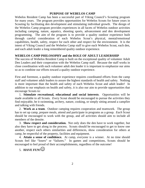#### **PURPOSE OF WEBELOS CAMP**

Webelos Resident Camp has been a successful part of Viking Council's Scouting program for many years. The program provides opportunities for Webelos Scouts for future years in Scouting by facilitating den development and stimulating individual growth. The design of the Webelos Camp program provides experiences in all facets of Webelos outdoor activities including camping, nature, aquatics, shooting sports, advancement and den development programming. The aim of the program is to provide a quality outdoor experience built through careful consideration of each Webelos Scout's physical, mental/emotional capabilities, health, safety, respect for each other and respect for the environment. It is the intent of Viking Council and the Webelos Camp staff to give each Webelos Scout, each den, and each adult leader a long remembered quality outdoor experience.

#### **WEBELOS CAMP PHILOSOPHY and the ROLE OF ADULT LEADERSHIP**

The success of Webelos Resident Camp is built on the exceptional quality of volunteer Adult Den Leaders and their cooperation with the Webelos Camp staff. Because the staff works in close coordination with each volunteer adult den leader it is important to emphasize our aims so as to combine our efforts toward a quality outdoor experience.

First and foremost, a quality outdoor experience requires coordinated efforts from the camp staff and volunteer adult leaders to assure the highest standards of health and safety. Nothing is more important than the health and safety of each Webelos Scout and adult leader! In addition to our emphasis on health and safety, it is also our aim to provide opportunities that encourage Scouts to:

1. **Stimulate recreational, educational and social interests**. Opportunities will be made available to all Scouts. *Every* Scout should be encouraged to pursue the activities they find enjoyable, be it swimming, archery, nature, cooking, or simply sitting around a campfire and talking with friends.

2. **Work as a team**. Outdoor camping requires cooperation and teamwork. The group has to set up camp, prepare meals, attend and participate in programs as a group. *Each* Scout should be encouraged to work with the group, and *all* activities should aim to include all members of the densite.

3. **Show respect and consideration.** Not only does the den have to work together, but also they have to get along in the process. Scouts should be encouraged to get to know one another, respect each others similarities and differences, show consideration for others at camp, be respectful of the property, facilities and equipment.

4. **Attain a sense of confidence.** At camp, *everyone* is a winner. At no time should Scouts feel like "losers" or "failures." In games and competitions, Scouts should be encouraged to feel proud of their accomplishments, regardless of the outcome!

## 5. **HAVE FUN!** $\odot$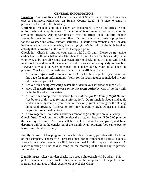#### **GENERAL INFORMATION**

**Location:** Webelos Resident Camp is located at Stearns Scout Camp, 1 ½ miles east of Fairhaven, Minnesota, on Stearns County Road 44 (a map to camp is provided at the end of this booklet.)

**Uniforms:** Webelos and adult leaders are encouraged to wear the official Scout uniform while at camp; however, "official dress" is **not** required for participation in any camp program. Appropriate times to wear the official Scout uniform include assemblies, evening meals and campfires. During other times dress appropriately for the weather and active outdoor activities. T-shirts with Webelos, pack or den insignias are not only acceptable, but also *preferable* in light of the high level of activity that is involved in the Webelos Camp program.

**Check-In:** Check-in time for your den is 12:00-1:00 p.m. Please do *not* arrive earlier than 12:00 or substantially later than 1:00 p.m. Lunch on check-in day is on your own, so be sure all Scouts have eaten prior to checking in. All units will check in at this time and we will make every effort to check you in as quickly as possible. However, it would be wise to expect some delay during your initial check-in process. Check-in can be made considerably more efficient if you:

- Arrive *in uniform with completed order form* for the den picture (see bottom of this page for more information). (Form for the Den Pictures is included in your informational packet.)
- Arrive with a *completed camp roster* (included in your informational packet).
- Have all *Health History forms sent to the Scout Office* by May 1<sup>st</sup> so they will be in the file when you arrive.
- Arrive with a completed reservation *form and fees for the Family Night Dinner* (see bottom of this page for more information). Do **not** include Scouts and adult leaders attending camp in your count or fees, only guests arriving for the closing dinner and program. (Reservation form for the Family Night Dinner is included in your informational packet).
- *Arrive together*. Your den's activities cannot begin until you are all at camp.

**Check-Out:** Check-out time will be after the program, between 5:00-6:00 p.m. on the last day of camp. All units will be checked out of the campsites, and final departure will be at the conclusion of the Family Night program (you can expect to leave camp about 7:30 p.m.).

**Family Dinner:** After program on your last day of camp, your den will check out of their campsite. The staff will prepare a meal for all campers and guests. No pets allowed. A closing assembly will follow the meal for all campers and guests. A leaders meeting will be held in camp on the morning of the final day to provide further details.

**Den Pictures:** After your den checks in, a group photograph will be taken. This picture is mounted on cardstock with a picture of the camp staff. These pictures are a great remembrance of their experience at Webelos Camp.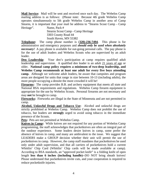**Mail Service:** Mail will be sent and received once each day. The Webelos Camp mailing address is as follows: (Please note: Because 4th grade Webelos Camp operates simultaneously to 5th grade Webelos Camp in another area of Camp Stearns, it is important that your mail be address to "Stearns Scout Camp - Camp Heritage". Name, Pack #

> Stearns Scout Camp - Camp Heritage 3303 County Road 44 South Haven, MN 55382

**Telephone:** The camp phone number is (**320)-236-7494**. This phone is for administrative and emergency purposes and *should only be used when absolutely necessary!* A pay phone is available for out-going personal calls. The pay phone is for the use of adult leaders and Webelos Scouts who are supervised by an adult leader.

**Den Leadership**: Your den's participation at camp requires qualified adult leadership and supervision. A qualified den leader is an adult 21 years of age or older. **National camp policy requires a minimum of two-deep leadership, and Webelos Camp recommends at least one adult for every five boys attending camp.** Although we welcome adult leaders, be aware that campsites and program areas are designed for units that range in size between 10-13 (including adults), the more people occupying a densite the more crowded it will be!

**Firearms:** The camp provides B.B. and archery equipment that meets all state and National BSA requirements and regulations. Webelos Camp firearm equipment is appropriate for the use by Webelos Scouts. Personal firearms are not necessary and may **not** be brought to camp.

**Fireworks:** Fireworks are illegal in the State of Minnesota and are not permitted in camp.

**Alcohol, Unlawful Drugs and Tobacco Use:** Alcohol and unlawful drugs are strictly prohibited at Webelos Camp. Webelos Camp does not prohibit the use of tobacco, but leaders are **strongly** urged to avoid using tobacco in the immediate presence of the Scouts.

**Pets:** Pets are not permitted at Webelos Camp.

**Knives in Camp:** While knives are not required for any portion of Webelos Camp programming, the staff acknowledges that pocketknives are often an integral part of the outdoor experience. Some leaders desire knives in camp, some prefer the absence of knives in camp, and many are ambivalent to the issue. We suggest that LEADERS make a GROUP decision whether their unit will permit the use of pocketknives in camp. However, the camp staff mandates that pocketknives be used only under adult supervision, and that all carriers of pocketknives hold a current Whittlin' Chip Card (Whittlin' Chip cards will be made available at camp). According to BSA standards, an "approved pocket knife" is a folding knife of open length **less than 6 inches (including handle)--**DO NOT bring sheath knives! Please understand that pocketknives invite cuts, and your cooperation is required to reduce pocketknife injuries.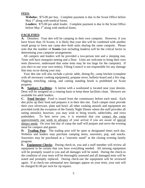#### **FEES**:

**Webelos:** \$75.00 per boy. Complete payment is due in the Scout Office before May  $1<sup>st</sup>$  along with medical forms.

**Leaders:** \$75.00 per adult leader. Complete payment is due in the Scout Office before May  $1<sup>st</sup>$  along with medical forms.

#### **FACILITIES:**

**A.** Densites**:** Your den will be camping in their own campsite. However, if you have fewer than 10 Scouts, it is likely that your den will be combined with another small group to form one camp den--both units sharing the same campsite. Please note that the number of **Scouts** (not including leaders) will be the critical factor in determining your campsite arrangements

 All campers and leaders will be provided a two-person tent and a sleeping mat. Tents will have mosquito netting and a floor. Units are welcome to bring their own tents (however, understand that some tents may be too large for the campsite). If you elect to use your own tent(s), Viking Council is not responsible for any damage that may occur during your stay.

 Your den site will also include a picnic table, dining-fly, camp kitchen (complete with all necessary cooking equipment), propane stove, bulletin board and a fire ring. Digging, trenching, raking, and cutting standing brush is prohibited on Scout property

**B. Sanitary Facilities:** A latrine with a washstand is located near your densite. Dens will be assigned on a rotating basis to keep these facilities clean. Showers are available for adult leaders.

**C. Food Service:** Food is issued from the commissary before each meal. Each den picks up their food and prepares it in their den site. Each camper must provide their own silverware, plate and bowl; all other cooking utensils and equipment are provided (with the exception of the Family Night Dinner where the staff provides all eating utensils); however, you may wish to bring towels, tablecloths, and extra potholders. To best serve you, it is essential that you contact the camp approximately one week in advance of your arrival if you are aware of special dietary needs. On your last day of camp the staff will prepare and serve the evening meal for campers and guests.

**D. Trading Post:** The trading post will be open at designated times each day. Webelos and leaders may purchase camping items, souvenirs, pop, and snacks. Souvenirs may be purchased at a "souvenir stand" at the closing evening family program.

**E. Equipment Checks**: During check-in, you and a staff member will review all equipment to be certain that you have everything needed. All missing equipment will be promptly issued to you and all damages will be noted. During the check-in the condition of your tents will be thoroughly assessed and all damaged tents will be noted and promptly replaced. During check-out the equipment will be reviewed again. If at check-out substantial new damages appear on your tents, your unit will be charged \$1.00 per inch for rip repairs.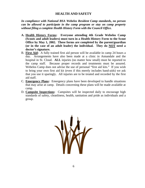#### **HEALTH AND SAFETY**

*In compliance with National BSA Webelos Resident Camp standards, no person can be allowed to participate in the camp program or stay on camp property without filing a complete Health History Form with the Council Office.*

- **A. Health History Forms: Everyone attending 4th Grade Webelos Camp (Scouts and adult leaders) must turn in a Health History Form to the Scout Office by May 1, 2002. These forms are completed by the parent/guardian (or in the case of an adult leader) the individual. They do NOT need a doctor's signature.**
- B. **First Aid:** A fully trained first aid person will be available in camp 24 hours a day. Arrangements have also been made at a clinic in Annandale and the hospital in St. Cloud. **ALL** injuries (no matter how small) must be reported to the camp staff. Because proper records and treatments must be assured. Webelos Camp does not advise the use of personal "first aid kits." If you wish to bring your own first aid kit (even if this merely includes band-aids) we ask that you use it sparingly. All injuries are to be treated and recorded by the first aid staff.
- C. **Emergency Plans:** Emergency plans have been developed to handle situations that may arise at camp. Details concerning these plans will be made available at camp.
- D. **Campsite Inspections:** Campsites will be inspected daily to encourage high standards of safety, cleanliness, health, sanitation and pride as individuals and a group.

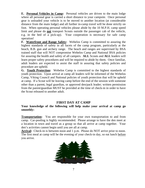**E. Personal Vehicles in Camp:** Personal vehicles are driven to the main lodge where all personal gear is carried a short distance to your campsite. Once personal gear is unloaded your vehicle is to be moved to another location (at considerable distance from the main lodge) and all further in-camp travel will be done strictly on foot. When operating personal vehicles please abide by the 10 M.P.H. camp speed limit and please do **not** transport Scouts outside the passenger cab of the vehicle, e.g. in the bed of a pick-up). Your cooperation is necessary for safe camp operation!

**F. Waterfront and Range Safety:** Webelos Camp is committed to assuring the highest standards of safety in all facets of the camp program, particularly at the beach, B.B. gun and archery range. The beach and ranges are supervised by BSA trained staff that will NOT compromise Webelos Camp and National BSA policies for assuring the health and safety of all campers. **ALL** Scouts and **ALL** leaders will learn proper safety procedures and will be required to abide by them. Once familiar, adult leaders are expected to assist the staff in assuring that safety policies and procedure are upheld.

**G. Youth Protection:** Webelos Camp is committed to the highest standards of youth protection. Upon arrival at camp all leaders will be informed of the Webelos Camp, Viking Council and National policies of youth protection that will be upheld at camp. If a Scout will be leaving camp before the end of the session with someone other than a parent, legal guardian, or approved den/pack leader; written permission from the parent/guardian MUST be provided at the time of check-in in order to have the Scout released to another adult.

#### **FIRST DAY AT CAMP**

#### **Your knowledge of the following will help make your arrival at camp go smoothly:**

**Transportation:** You are responsible for your own transportation to and from camp. Car-pooling is highly recommended. Please arrange to have the den meet at a location in town and travel as a group so that all arrive at camp together. Your den's activities cannot begin until you are all at camp.

**Arrival:** Check-in is between noon and 1 p.m. Please do NOT arrive prior to noon. The first meal at camp will be the evening of your check-in day, so eat lunch before you arrive.

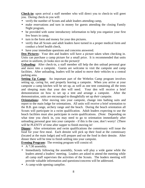**Check-in:** upon arrival a staff member who will direct you to check-in will greet you. During check-in you will:

- verify the number of Scouts and adult leaders attending camp,
- make reservations and turn in money for guests attending the closing Family Night program,
- be provided with some introductory information to help you organize your first few hours in camp,
- turn in the form and money for your den pictures.
- verify that all Scouts and adult leaders have turned in a proper medical form and conduct a brief health check,
- have your immediate questions and concerns answered.

**Den Pictures:** Your den and leaders will have a picture taken when checking in. Units can purchase a camp picture for a small price. It is recommended that units arrive in uniform, (it looks nice on the picture)!

**Unloading:** After check-in, a staff member sill help the den unload personal gear and move into a campsite. Guests are welcome to visit the campsite and camp facilities. After unloading, leaders will be asked to move their vehicles to a central parking area.

**Setting Up Camp:** An important part of the Webelos Camp program involves setting up, caring for, and properly leaving a campsite. When you arrive at your campsite a camp kitchen will be set up, as well as one tent containing all the tents and sleeping mats that your den will need. Your den will receive a brief demonstration on how to set up a tent and arrange a campsite. After the demonstration, units are encouraged to thoughtfully set up *their* campsite.

**Orientations:** After moving into your campsite, change into bathing suits and report to the main lodge for orientations. All units will receive a brief orientation to the B.B. gun range, archery range and the beach. During the beach orientation all Scouts will participate in a swim qualification. Adult leaders expecting to use the beach facilities must also participate in swim qualifications. (Note: Depending on what time you check in, you may need to go to orientation immediately after unloading personal gear into your campsite - if this is the case, don't worry! (There will be PLENTY of time after supper to finish moving in!

**Dinner:** After orientations and swim qualifications the commissary will issue the food for your first meal. Each densite will pick up their food at the commissary (located at the main lodge) and will prepare and eat the food in their densite. After dinner there will be time to finish settling into your campsite.

**Evening Program:** The evening program will consist of:

- A 7:30 assembly.
- Immediately following the assembly, Scouts will play a wide game while the leaders attend a leaders' meeting. Leaders are asked to attend the meeting while all camp staff supervises the activities of the Scouts. The leaders meeting will provide valuable information and questions/concerns will be addressed.
- A camp-wide opening campfire.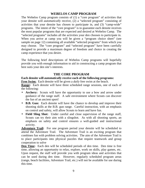#### **WEBELOS CAMP PROGRAM**

The Webelos Camp program consists of (1) a "core program" of activities that your densite will *automatically* receive, (2) a "selected program" consisting of activities that your densite has chosen to participate in, and (3) "camp-wide" programs. The intent of the "core program" is to guarantee each densite receives the most popular programs that are expected and desired at Webelos Camp. The "selected programs" includes all the activities your den chooses to participate in. When you arrive at camp you will be given a "program choice sheet" (see sample on page 12) containing all available "selected programs" from which you may choose. The "core program" and "selected program" have been carefully designed to provide a maximum degree of freedom and choice in creating the camp experience that you desire.

The following brief descriptions of Webelos Camp programs will hopefully provide you with enough information to aid in constructing a camp program that best suits your den site's interests.

#### **THE CORE PROGRAM**

**Each densite will** *automatically* **receive each of the following programs:**

**Free Swim:** Each densite will be given a *daily* free swim at the beach.

**Range:** Each densite will have three scheduled range sessions, one of each of the following:

- **Archery:** Scouts will have the opportunity to use a bow and arrow under guidance of the range staff. A safe environment where Scouts can discover the fun of an ancient sport!
- **B.B. Gun:** Each densite will have the chance to develop and improve their shooting skills at the B.B. gun range. Careful instruction, with an emphasis on control and safety, will allow Scouts to learn and have fun.
- **Field Sling Shot:** Under careful and close supervision of the range staff, Scouts can try their aim with a slingshot. As with all shooting sports, an emphasis on safety and control ensures a well-guided and instructional activity.

**Adventure Trail:** For one program period your densite will be scheduled to attend the Adventure Trail. The Adventure Trail is an exciting program that combines fun with problem solving activities. The aim of the Adventure Trail is to place participants into physical puzzles that require teamwork and group cooperation to solve

**Den Time:** Each den will be scheduled periods of den time. Den time is free time, allowing an opportunity to relax, explore, work on skills, play games, etc. Upon request, the staff will provide you with program ideas and activities that can be used during den time. However, regularly scheduled program areas (range, beach facilities, Adventure Trail, etc.) will not be available for use during this time.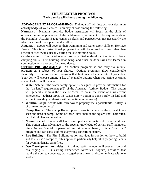#### **THE SELECTED PROGRAM Each densite will choose among the following:**

**ADVANCEMENT PROGRAMMING:** Trained staff will instruct your den in an activity badge of your choice. You may choose among the following:

**Naturalist:** Naturalist Activity Badge instruction will focus on the skills of observation and appreciation of the wilderness environment. The requirements of the Naturalist Activity Badge center on skills and perspectives, not necessarily the identification of trees, plants and wildlife.

**Aquanaut:** Scouts will develop their swimming and water safety skills on Heritage Beach. This is an instructional program that will be offered at times other than scheduled free swims, usually during the late morning hours.

**Outdoorsman:** The Outdoorsman Activity Badge develops the Scouts' basic camping skills. Fire building, knot tying, and other outdoor skills are learned in conjunction with a respect for the outdoors.

**OPTION PROGRAMMING:** An "option program" is one forty-five minute program on a subject of your choice. Options programs allow considerable flexibility in creating a camp program that best meets the interests of your den. Your den will choose among a list of available options when you arrive at camp, some of which will include:

- **Water Safety:** The water safety option is designed to provide information for the "on-land" requirement (#6) of the Aquanaut Activity Badge. This option will generally address the issue of "what to do in the event of a waterfront emergency." (*Please note*, the Water Safety option is done purely on land and will not provide your densite with more time in the water).
- **Whittlin' Chip:** Scouts will learn how to properly use a pocketknife. Safety is of primary importance!
- **Camp Knots:** The Camp Knots option instructs Scouts on the typical knots seen and used at camp. Some of these knots include the square knot, half hitch, two half hitches and taut-line.
- **Nature Special:** Some staff have developed special nature skills and abilities. This option takes advantage of the special knowledge of certain staff members. Since Nature Special is personnel and situational based, it is a "grab bag" program and can consist of most anything concerning nature.
- **Fire Building:** The Fire Building option provides instruction on how to build and safely use a campfire. This option is particularly helpful in preparing Scouts for evening densite campfires.
- **Den Development Activities:** A trained staff member will present fun and challenging LEAP (Learning Experience Activities Program) activities that require the den to cooperate, work together as a team and communicate with one another.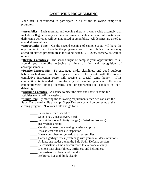#### **CAMP-WIDE PROGRAMMING**

Your den is encouraged to participate in all of the following camp-wide programs:

**\*Assemblies:** Each morning and evening there is a camp-wide assembly that includes a flag ceremony and announcements. Valuable camp information and daily camp activities will be announced at assemblies. All densites are asked to attend all assemblies.

**\*Opportunity Time:** On the second evening of camp, Scouts will have the opportunity to participate in the program areas of their choice. Scouts may attend all staffed program areas including beach, B.B. guns, archery, as well as others.

**\*Densite Campfires:** The second night of camp is your opportunities to sit around your campfire enjoying a time of fun and recognition of accomplishments.

**\*Densite Inspect-Off:** To encourage pride, cleanliness and good outdoors habits, each densite will be inspected daily. The densite with the highest cumulative inspection score will receive a special camp honor. (This competition is intended to reinforce good camping practices. Excessive competitiveness among densites and un-sportsman-like conduct is selfdefeating.)

**\*Opening Campfire:** A chance to meet the staff and share in some fun activities to start off the session.

**\*Super Den:** By meeting the following requirements each den can earn the Super Den award while at camp. Super Den awards will be presented at the closing program. "Do your best" and go for it!

- \_\_\_\_\_ Be on time for assemblies
- \_\_\_\_\_\_\_ Sing or say grace at every meal
- \_\_\_\_\_ Earn at least one Activity Badge (or Wisdom Program)
- per Webelos Scout
- \_\_\_\_\_ Conduct at least one evening densite campfire
- \_\_\_\_\_ Pass at least one densite inspection
- \_\_\_\_\_ Have a den cheer or yell--do at all assemblies
- \_\_\_\_\_ Carry a garbage truck (trash bag) with you on all den excursions
- \_\_\_\_\_ At least one leader attend the Safe Swim Defense session
- \_\_\_\_\_ Be consistently kind and courteous to everyone at camp
- \_\_\_\_\_ Demonstrate cheerfulness, thriftiness and helpfulness
- **EXECUTE:** Be trustworthy, loyal and friendly
- \_\_\_\_\_ Be brave, live and think cleanly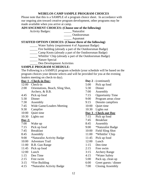#### **WEBELOS CAMP SAMPLE PROGRAM CHOICES**

Please note that this is a SAMPLE of a program choice sheet. In accordance with our ongoing aim toward creative program development, other programs may be made available when you arrive at camp.

#### **ADVANCEMENT CHOICES: (Choose one of the following)**

Activity Badges: \_\_\_\_\_ Naturalist

\_\_\_\_\_ Outdoorsman

\_\_\_\_\_ Aquanaut

#### **STAFFED OPTION CHOICES: (Choose three of the following)**

- \_\_\_\_\_ Water Safety (requirement 4 of Aquanaut Badge)
- \_\_\_\_\_ Fire building (already a part of the Outdoorsman Badge)
- \_\_\_\_\_ Camp Knots (already a part of the Outdoorsman Badge)
- \_\_\_\_\_ Whittlin' Chip (already a part of the Outdoorsman Badge)
- \_\_\_\_\_ Nature Special
	- Den Development Activities

#### **SAMPLE PROGRAM SCHEDULE:**

The Following is a SAMPLE program schedule (your schedule will be based on the program choices your densite selects and will be provided for you at the evening leaders meeting on check-in day).

| Day 1 - Check-in Day: |                                  | Day $2$ - (continued) |                         |  |
|-----------------------|----------------------------------|-----------------------|-------------------------|--|
| 12:00                 | Check-in                         | 5:00                  | Pick up food            |  |
| 2:00                  | Orientations, Beach, Sling Shot, | 5:30                  | Dinner                  |  |
|                       | Archery, & B.B.                  | 7:00                  | Assembly                |  |
| 4:45                  | Pick up food                     | 7:15                  | <b>Opportunity Time</b> |  |
| 5:30                  | Dinner                           | 9:00                  | Program areas close     |  |
| 7:30                  | Assembly                         | 9:15                  | Densite campfires       |  |
| 7:45                  | Wide Game/Leaders Meeting        | 10:00                 | Quiet time              |  |
| 9:30                  | Campfire                         | 10:30                 | Lights out              |  |
| 10:00                 | Quiet time                       |                       | Day 3 - Check-out Day   |  |
| 10:30                 | Lights out                       | 7:15                  | Pick up food            |  |
| Day $2:$              |                                  | 7:45                  | <b>Breakfast</b>        |  |
| 7:00                  | Wake up                          | 8:45                  | Assembly                |  |
| 7:15                  | Pick up food                     | 9:00                  | *Naturalist Badge       |  |
| 7:45                  | <b>Breakfast</b>                 | 10:00                 | <b>Field Sling Shot</b> |  |
| 8:45                  | Assembly                         | 11:00                 | *Whittlin' Chip         |  |
| 9:00                  | *Naturalist Activity Badge       | 11:45                 | Pick up food            |  |
| 10:00                 | <b>Adventure Trail</b>           | 12:00                 | Lunch                   |  |
| 11:00                 | <b>B.B.</b> Gun Range            | 1:15                  | Den time                |  |
| 11:45                 | Pick up food                     | 2:15                  | Free swim               |  |
| 12:00                 | Lunch                            | 3:15                  | <b>Archery Range</b>    |  |
| 1:15                  | Den Time                         | 4:15                  | *Water Safety           |  |
| 2:15                  | Free swim                        | 5:00                  | Pack up, clean up       |  |
| 3:15                  | *Fire Building                   | 6:00                  | Greet guests / dinner   |  |
|                       | $\mathbf{u}$                     | $\sqrt{2}$            |                         |  |

4:15 \*Naturalist Activity Badge 7:00 Closing Assembly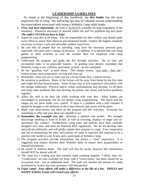#### **LEADERSHIP GUIDELINES**

 As stated at the beginning of this handbook, the *den leader* has the most important role in camp. The following tips may be valuable toward understanding the expectations associated with being a Webelos Camp adult leader.

- *1. First, and most importantly*, the staff is ALWAYS available for help (regardless of the situation). Whenever necessary or desired, utilize the staff for problems big and small. *The staff is NEVER too busy to help!*
- 2. Supervise your den at all times. You are responsible for their welfare and should make every effort to assure their physical and emotional health. Employ the highest standards necessary to insure a safe and enjoyable outdoor experience.
- 3. Be sure that all people that are attending camp have the necessary personal gear, *especially rain gear and a change of footwear*. In addition, it is advised that you bring games or other activities in case the weather does not cooperate with camp programming.
- 4. Understand the program and guide the den through activities. Be on time and accomplish tasks in an enjoyable manner. In guiding your densite, remember that Webelos Camp is not a military institution, so lead - do not command.
- 5. Be the "guardian chef" at meal times. This simply means, "you taste they stir." Ensure proper meal preparation, serving and clean up.
- 6. Remember, when you are at camp you are a Scout leader first, a parent second.
- 7. Be sensitive to problems. Many of the Scouts will be away from home for the first time and might develop homesickness. Some Scouts may at first experience discomfort with the strange wilderness. Physical and/or verbal confrontations may develop. To all these and many other problems that may develop, be patient, fair, listen, and resolve problems together.
- 8. Allow the staff to do their job while working with your den. Adult leaders are encouraged to participate, but do not dictate camp programming. The beach and the ranges are not areas under your control. If there is a problem with a staff member it should be brought to the attention of the Camp Director and action will be taken.
- 9. Share your observations and ideas on the program and den activities. Everyone has something to offer and your ideas are valuable to us!
- 10. **Remember the example you set!** Maintain a positive role model. We strongly discourage smoking in front of Scouts as well as swearing, displays of anger and unsportsman like conduct. Furthermore, camp rules and policies have been carefully designed over time, and most are National BSA regulations. We do not develop rules and policies arbitrarily, and will gladly explain their purpose in camp. Your cooperation and aid in maintaining the rules and policies of camp is expected and required to be a positive role model to your Scouts and a participant at Webelos Camp.
- 11. The program activities provide information, not always a "total" experience. It is suggested that leaders monitor their Webelos daily to ensure their preparedness or learned information.
- 12. Be award of medical needs. The staff will also be aware, however this information should NOT be shared with all.
- 13. The camp has a trading post that contains some camping supplies, T-shirts, hats, etc. "Confections" are also available for those with a "sweet-tooth," but these should be an occasional treat - not an additional meal. The staff will monitor the amount of candy purchased by Scouts, but your assistance will help greatly!
- *14. Enjoy camp! Your efforts will make a difference in the life of a boy. SMILES and HAPPY Webelos Scouts will reward your efforts!*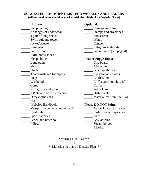#### **SUGGESTED EQUIPMENT LIST FOR WEBELOS AND LEADERS (All personal items should be marked with the initials of the Webelos Scout)**

| Uniform                          | <b>Optional:</b>                 |
|----------------------------------|----------------------------------|
| ____ Sleeping bag                | Camera and film                  |
| 3 changes of underwear           | _________ Stamps and envelopes   |
| 4 pair of long socks             | Sun screen                       |
| Swim suit and towel              | Watch                            |
| Jacket/sweater                   | Canteen                          |
|                                  | Religious materials              |
| Pair of shoes                    | __ Pocket knife (see page 4)     |
| Extra boots/shoes                |                                  |
| ______ Sleep clothes             | <b>Leader Suggestions:</b>       |
| $\frac{1}{2}$ Long pants         | _____ Clip board                 |
| <b>Shorts</b>                    | Alarm clock                      |
| <b>Shirts</b>                    |                                  |
| Toothbrush and toothpaste        | 2 plastic tablecloths            |
| $\frac{\ }{}$ Soap               | Clothes line                     |
| Washcloth                        | Coffee pot (not electric)        |
| Comb                             | Coffee                           |
| <u>Knife</u> , fork and spoon    | <b>Pot holders</b>               |
| 1 Plate and bowl per person      | Dish towels                      |
| Dirty clothes bag                | Material for Den Site Flag       |
| Hat                              |                                  |
| Webelos Handbook                 | <b>Please DO NOT bring:</b>      |
| Mosquito repellent (non-aerosol) | _______ Aerosol cans of any kind |
| Flashlight                       | Radios, tape players, etc.       |
| Spare batteries                  | Axes                             |
| Pencil and notebook              | <b>Gas</b> lanterns              |
| Pillow                           | Sheath knives                    |

\_\_\_\_\_ Alcohol

\*\*\*Bring Den Flag\*\*\* or \*\*\*Materials to make a Densite Flag\*\*\*